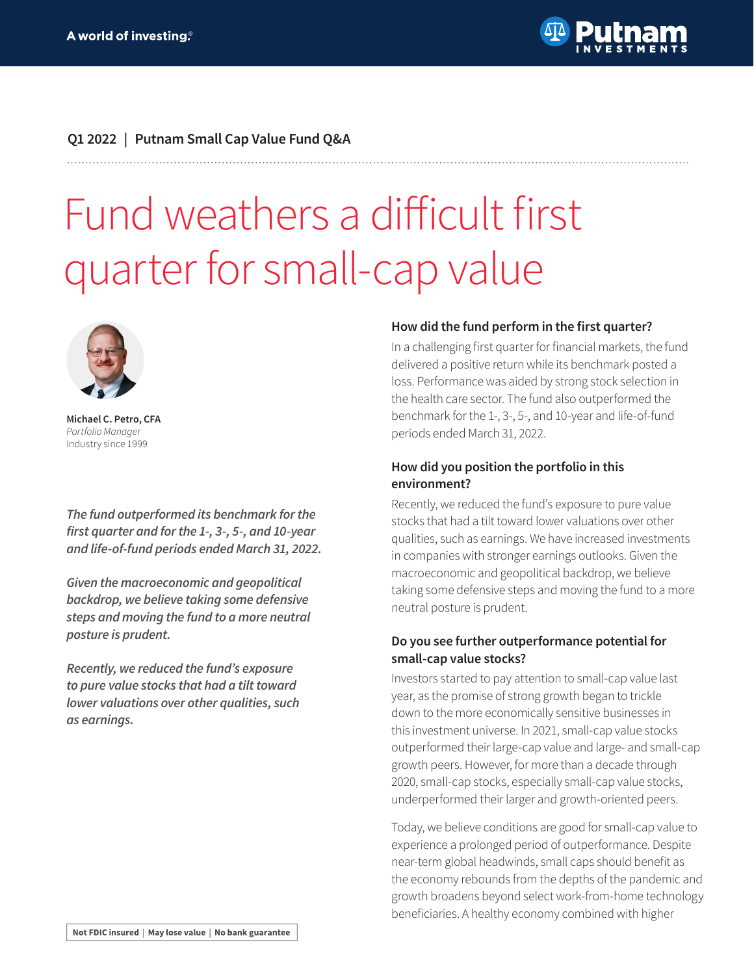

## **Q1 2022 | Putnam Small Cap Value Fund Q&A**

# Fund weathers a difficult first quarter for small-cap value



**Michael C. Petro, CFA** *Portfolio Manager* Industry since 1999

*The fund outperformed its benchmark for the*  **first quarter and for the 1-, 3-, 5-, and 10-year and life-of-fund periods ended March 31, 2022.**

*Given the macroeconomic and geopolitical*  **backdrop, we believe taking some defensive**  *steps and moving the fund to a more neutral*  **posture is prudent.**

**Recently, we reduced the fund's exposure to pure value stocks that had a tilt toward lower valuations over other qualities, such as earnings.**

#### **How did the fund perform in the first quarter?**

In a challenging first quarter for financial markets, the fund delivered a positive return while its benchmark posted a loss. Performance was aided by strong stock selection in the health care sector. The fund also outperformed the benchmark for the 1-, 3-, 5-, and 10-year and life-of-fund periods ended March 31, 2022.

#### **How did you position the portfolio in this environment?**

Recently, we reduced the fund's exposure to pure value stocks that had a tilt toward lower valuations over other qualities, such as earnings. We have increased investments in companies with stronger earnings outlooks. Given the macroeconomic and geopolitical backdrop, we believe taking some defensive steps and moving the fund to a more neutral posture is prudent.

## **Do you see further outperformance potential for small-cap value stocks?**

Investors started to pay attention to small-cap value last year, as the promise of strong growth began to trickle down to the more economically sensitive businesses in this investment universe. In 2021, small-cap value stocks outperformed their large-cap value and large- and small-cap growth peers. However, for more than a decade through 2020, small-cap stocks, especially small-cap value stocks, underperformed their larger and growth-oriented peers.

Today, we believe conditions are good for small-cap value to experience a prolonged period of outperformance. Despite near-term global headwinds, small caps should benefit as the economy rebounds from the depths of the pandemic and growth broadens beyond select work-from-home technology beneficiaries. A healthy economy combined with higher